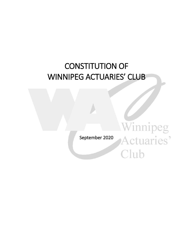# CONSTITUTION OF WINNIPEG ACTUARIES' CLUB

September 2020

Winnipeg

Actuaries'

Club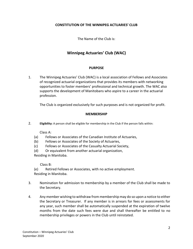#### **CONSTITUTION OF THE WINNIPEG ACTUARIES' CLUB**

The Name of the Club is:

## **Winnipeg Actuaries' Club (WAC)**

#### **PURPOSE**

1. The Winnipeg Actuaries' Club (WAC) is a local association of Fellows and Associates of recognized actuarial organizations that provides its members with networking opportunities to foster members' professional and technical growth. The WAC also supports the development of Manitobans who aspire to a career in the actuarial profession.

The Club is organized exclusively for such purposes and is not organized for profit.

#### **MEMBERSHIP**

2. **Eligibility:** A person shall be eligible for membership in the Club if the person falls within:

Class A:

- (a) Fellows or Associates of the Canadian Institute of Actuaries,
- (b) Fellows or Associates of the Society of Actuaries,
- (c) Fellows or Associates of the Casualty Actuarial Society,

(d) Or equivalent from another actuarial organization, Residing in Manitoba.

Class B:

(e) Retired Fellows or Associates, with no active employment. Residing in Manitoba.

- 3. Nomination for admission to membership by a member of the Club shall be made to the Secretary.
- 4. Any member wishing to withdraw from membership may do so upon a notice to either the Secretary or Treasurer. If any member is in arrears for fees or assessments for any year, such member shall be automatically suspended at the expiration of twelve months from the date such fees were due and shall thereafter be entitled to no membership privileges or powers in the Club until reinstated.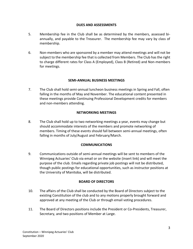#### **DUES AND ASSESSMENTS**

- 5. Membership fee in the Club shall be as determined by the members, assessed biannually, and payable to the Treasurer. The membership fee may vary by class of membership.
- 6. Non-members who are sponsored by a member may attend meetings and will not be subject to the membership fee that is collected from Members. The Club has the right to charge different rates for Class A (Employed), Class B (Retired) and Non-members for meetings.

#### **SEMI-ANNUAL BUSINESS MEETINGS**

7. The Club shall hold semi-annual luncheon business meetings in Spring and Fall, often falling in the months of May and November. The educational content presented in these meetings provide Continuing Professional Development credits for members and non-members attending.

#### **NETWORKING MEETINGS**

8. The Club shall hold up to two networking meetings a year, events may change but should accommodate interests of the members and promote networking of members. Timing of these events should fall between semi-annual meetings, often falling in months of July/August and February/March.

#### **COMMUNICATIONS**

9. Communications outside of semi-annual meetings will be sent to members of the Winnipeg Actuaries' Club via email or on the website (insert link) and will meet the purpose of the club. Emails regarding private job postings will not be distributed, though public postings for educational opportunities, such as instructor positions at the University of Manitoba, will be distributed.

#### **BOARD OF DIRECTORS**

- 10. The affairs of the Club shall be conducted by the Board of Directors subject to the existing Constitution of the club and to any motions properly brought forward and approved at any meeting of the Club or through email voting procedures.
- 11. The Board of Directors positions include the President or Co-Presidents, Treasurer, Secretary, and two positions of Member at Large.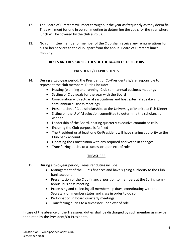- 12. The Board of Directors will meet throughout the year as frequently as they deem fit. They will meet for one in person meeting to determine the goals for the year where lunch will be covered by the club surplus.
- 13. No committee member or member of the Club shall receive any remunerations for his or her services to the club, apart from the annual Board of Directors lunch meeting.

## **ROLES AND RESPONSIBILITIES OF THE BOARD OF DIRECTORS**

### PRESIDENT / CO-PRESIDENTS

- 14. During a two-year period, the President or Co-Presidents is/are responsible to represent the club members. Duties include:
	- Hosting (planning and running) Club semi-annual business meetings
	- Setting of Club goals for the year with the Board
	- Coordination with actuarial associations and host external speakers for semi-annual business meetings
	- Presentation of Club scholarships at the University of Manitoba Fish Dinner
	- Sitting on the U of M selection committee to determine the scholarship winner
	- Leadership of the Board, hosting quarterly executive committee calls
	- Ensuring the Club purpose is fulfilled
	- The President or at least one Co-President will have signing authority to the Club bank account
	- Updating the Constitution with any required and voted in changes
	- Transferring duties to a successor upon exit of role

#### TREASURER

- 15. During a two-year period, Treasurer duties include:
	- Management of the Club's finances and have signing authority to the Club bank account
	- Presentation of the Club financial position to members at the Spring semiannual business meeting
	- Processing and collecting all membership dues, coordinating with the Secretary on member status and class in order to do so
	- Participation in Board quarterly meetings
	- Transferring duties to a successor upon exit of role

In case of the absence of the Treasurer, duties shall be discharged by such member as may be appointed by the President/Co-Presidents.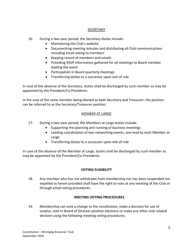#### SECRETARY

- 16. During a two-year period, the Secretary duties include:
	- Maintaining the Club's website
	- Documenting meeting minutes and distributing all Club communications including email voting to members
	- Keeping record of members and emails
	- Providing RSVP information gathered for all meetings to Board member leading the event
	- Participation in Board quarterly meetings
	- Transferring duties to a successor upon exit of role

In case of the absence of the Secretary, duties shall be discharged by such member as may be appointed by the President/Co-Presidents.

In the case of the same member being elected as both Secretary and Treasurer, the position can be referred to as the Secretary/Treasurer position.

## MEMBER AT LARGE

- 17. During a two-year period, the Members at Large duties include:
	- Supporting the planning and running of business meetings
	- Leading coordination of two networking events, one lead by each Member at Large
	- Transferring duties to a successor upon exit of role

In case of the absence of the Member at Large, duties shall be discharged by such member as may be appointed by the President/Co-Presidents.

## **VOTING ELIGIBILITY**

18. Any member who has not withdrawn from membership nor has been suspended nor expelled as herein provided shall have the right to vote at any meeting of the Club or through email voting procedures.

## **MEETING VOTING PROCEDURES**

19. Membership can vote a change to the constitution, make a decision for use of surplus, vote in Board of Director position elections or make any other club related decision using the following meeting voting procedures.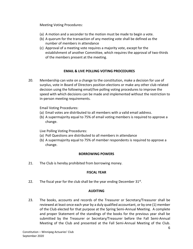Meeting Voting Procedures:

- (a) A motion and a seconder to the motion must be made to begin a vote.
- (b) A quorum for the transaction of any meeting vote shall be defined as the number of members in attendance
- (c) Approval of a meeting vote requires a majority vote, except for the establishment of another Committee, which requires the approval of two-thirds of the members present at the meeting.

## **EMAIL & LIVE POLLING VOTING PROCEDURES**

20. Membership can vote on a change to the constitution, make a decision for use of surplus, vote in Board of Directors position elections or make any other club related decision using the following email/live polling voting procedures to improve the speed with which decisions can be made and implemented without the restriction to in-person meeting requirements.

Email Voting Procedures:

- (a) Email votes are distributed to all members with a valid email address.
- (b) A supermajority equal to 75% of email voting members is required to approve a change.

Live Polling Voting Procedures:

- (a) Poll Questions are distributed to all members in attendance
- (b) A supermajority equal to 75% of member respondents is required to approve a change.

#### **BORROWING POWERS**

21. The Club is hereby prohibited from borrowing money.

#### **FISCAL YEAR**

22. The fiscal year for the club shall be the year ending December  $31^{st}$ .

#### **AUDITING**

23. The books, accounts and records of the Treasurer or Secretary/Treasurer shall be reviewed at least once each year by a duly qualified accountant, or by one (1) member of the Club elected for that purpose at the Spring Semi-Annual Meeting. A complete and proper Statement of the standings of the books for the previous year shall be submitted by the Treasurer or Secretary/Treasurer before the Fall Semi-Annual Meeting of the Club and presented at the Fall Semi-Annual Meeting of the Club.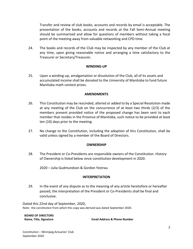Transfer and review of club books, accounts and records by email is acceptable. The presentation of the books, accounts and records at the Fall Semi-Annual meeting should be summarized and allow for questions of members without taking a focal point of the meeting away from valuable networking and CPD time.

24. The books and records of the Club may be inspected by any member of the Club at any time, upon giving reasonable notice and arranging a time satisfactory to the Treasurer or Secretary/Treasurer.

#### **WINDING-UP**

25. Upon a winding-up, amalgamation or dissolution of the Club, all of its assets and accumulated income shall be donated to the University of Manitoba to fund future Manitoba math contest prizes.

#### **AMENDMENTS**

- 26. This Constitution may be rescinded, altered or added to by a Special Resolution made at any meeting of the Club on the concurrence of at least two thirds (2/3) of the members present provided notice of the proposed change has been sent to each member that resides in the Province of Manitoba, such notice to be provided at least ten (10) days prior to the meeting.
- 27. No change to the Constitution, including the adoption of this Constitution, shall be valid unless signed by a member of the Board of Directors.

#### **OWNERSHIP**

28. The President or Co-Presidents are responsible owners of the Constitution. History of Ownership is listed below since constitution development in 2020.

2020 – Julia Gudmundson & Gordon Yestrau

#### **INTERPRETATION**

29. In the event of any dispute as to the meaning of any article heretofore or hereafter passed, the interpretation of the President or Co-Presidents shall be final and conclusive.

Dated this 22nd day of September, 2020, Note: the constitution from which this copy was derived was dated September 2020.

| <b>BOARD OF DIRECTORS</b> |                                         |
|---------------------------|-----------------------------------------|
| Name, Title, Signature    | <b>Email Address &amp; Phone Number</b> |